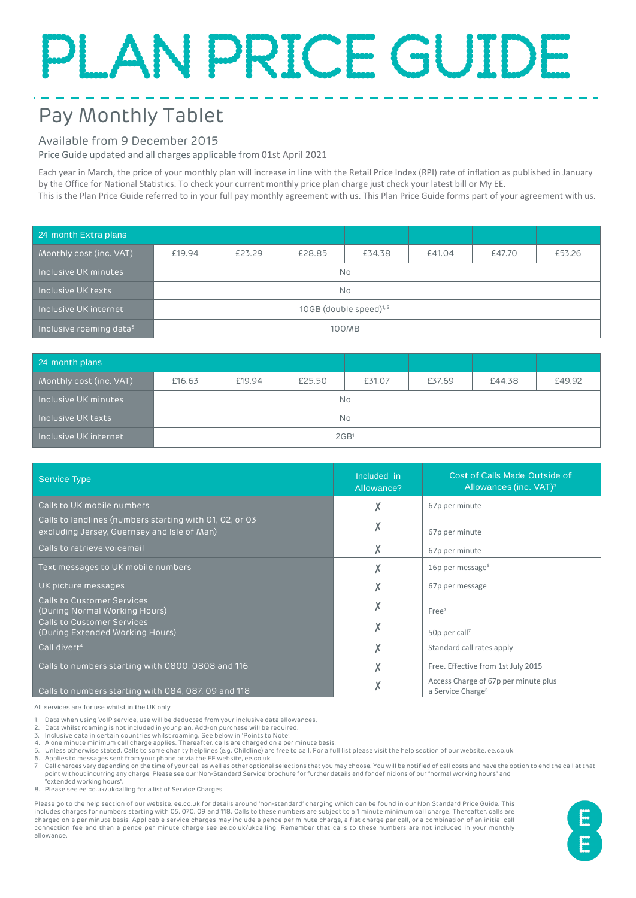# PLAN PRICE GUIDE

# Pay Monthly Tablet

### Available from 9 December 2015

Inclusive roaming data

Price Guide updated and all charges applicable from 01st April 2021

Each year in March, the price of your monthly plan will increase in line with the Retail Price Index (RPI) rate of inflation as published in January by the Office for National Statistics. To check your current monthly price plan charge just check your latest bill or My EE. This is the Plan Price Guide referred to in your full pay monthly agreement with us. This Plan Price Guide forms part of your agreement with us.

<sup>24</sup> month Extra plans Monthly cost (inc. VAT) £19.94 £23.29 £28.85 £34.38 £41.04 £47.70 £53.26 Inclusive UK minutes No Inclusive UK texts No Inclusive UK internet  $10GB$  (double speed)<sup>1, 2</sup>

| 24 month plans          |                  |        |        |        |        |        |        |
|-------------------------|------------------|--------|--------|--------|--------|--------|--------|
| Monthly cost (inc. VAT) | £16.63           | £19.94 | £25.50 | £31.07 | £37.69 | £44.38 | £49.92 |
| Inclusive UK minutes    | No               |        |        |        |        |        |        |
| Inclusive UK texts      | <b>No</b>        |        |        |        |        |        |        |
| Inclusive UK internet   | 2GB <sup>1</sup> |        |        |        |        |        |        |

<sup>3</sup> 100MB

| <b>Service Type</b>                                                                                    | Included in<br>Allowance? | Cost of Calls Made Outside of<br>Allowances (inc. VAT) <sup>3</sup>   |
|--------------------------------------------------------------------------------------------------------|---------------------------|-----------------------------------------------------------------------|
| Calls to UK mobile numbers                                                                             | Λ                         | 67p per minute                                                        |
| Calls to landlines (numbers starting with 01, 02, or 03<br>excluding Jersey, Guernsey and Isle of Man) | v                         | 67p per minute                                                        |
| Calls to retrieve voicemail                                                                            | Χ                         | 67p per minute                                                        |
| Text messages to UK mobile numbers                                                                     |                           | 16p per message $6$                                                   |
| UK picture messages                                                                                    | Χ                         | 67p per message                                                       |
| <b>Calls to Customer Services</b><br>(During Normal Working Hours)                                     | X                         | Free <sup>7</sup>                                                     |
| <b>Calls to Customer Services</b><br>(During Extended Working Hours)                                   | Χ                         | 50p per call <sup>7</sup>                                             |
| Call divert <sup>4</sup>                                                                               | Λ                         | Standard call rates apply                                             |
| Calls to numbers starting with 0800, 0808 and 116                                                      |                           | Free. Effective from 1st July 2015                                    |
| Calls to numbers starting with 084, 087, 09 and 118                                                    | Λ                         | Access Charge of 67p per minute plus<br>a Service Charge <sup>8</sup> |

All services are for use whilst in the UK only

1. Data when using VoIP service, use will be deducted from your inclusive data allowances.

Data whilst roaming is not included in your plan. Add-on purchase will be required.

3. Inclusive data in certain countries whilst roaming. See below in 'Points to Note'.

4. A one minute minimum call charge applies. Thereafter, calls are charged on a per minute basis.<br>5. Liniese otherwise stated. Calls to some charity belolines (e.g. Childline) are free to call. For a fi

5. Unless otherwise stated. Calls to some charity helplines (e.g. Childline) are free to call. For a full list please visit the help section of our website, ee.co.uk.

6. Applies to messages sent from your phone or via the EE website, ee.co.uk.

7. Call charges vary depending on the time of your call as well as other optional selections that you may choose. You will be notified of call costs and have the option to end the call at that point without incurring any charge. Please see our 'Non-Standard Service' brochure for further details and for definitions of our "normal working hours" and "extended working hours".

8. Please see ee.co.uk/ukcalling for a list of Service Charges.

Please go to the help section of our website, ee.co.uk for details around 'non-standard' charging which can be found in our Non Standard Price Guide. This includes charges for numbers starting with 05, 070, 09 and 118. Calls to these numbers are subject to a 1 minute minimum call charge. Thereafter, calls are charged on a per minute basis. Applicable service charges may include a pence per minute charge, a flat charge per call, or a combination of an initial call connection fee and then a pence per minute charge see ee.co.uk/ukcalling. Remember that calls to these numbers are not included in your monthly allowance.